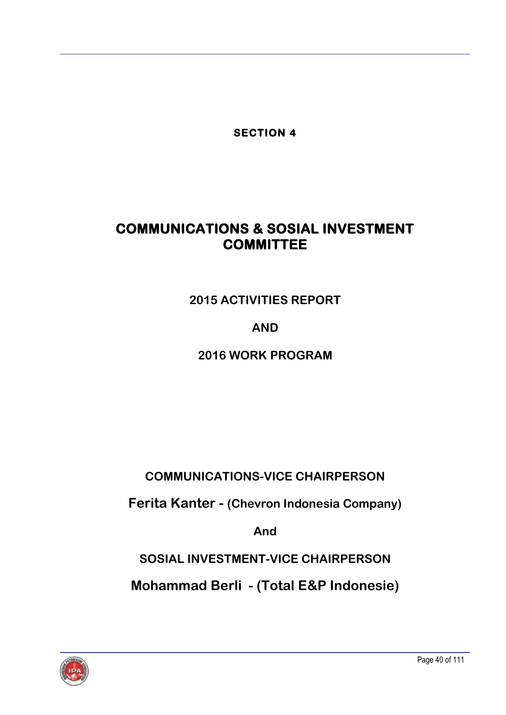**SECTION 4** 

# **COMMUNICATIONS & SOSIAL INVESTMENT COMMITTEE**

**2015 ACTIVITIES REPORT**

# **AND**

**2016 WORK PROGRAM**

**COMMUNICATIONS-VICE CHAIRPERSON**

**Ferita Kanter - (Chevron Indonesia Company)**

**And**

**SOSIAL INVESTMENT-VICE CHAIRPERSON**

**Mohammad Berli - (Total E&P Indonesie)**

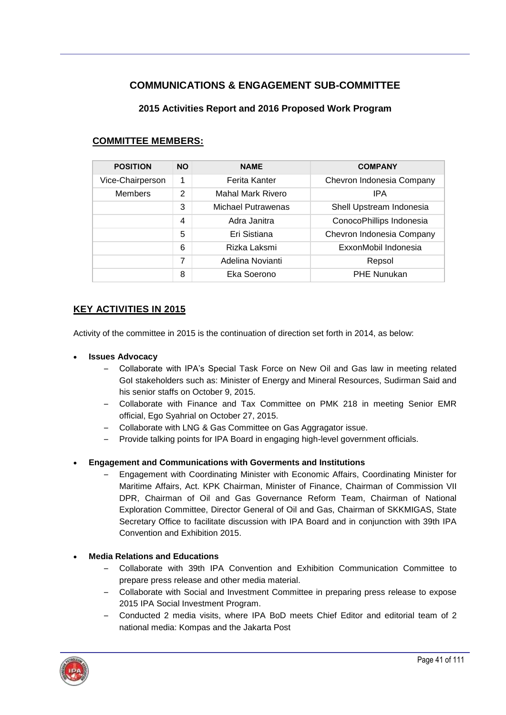# **COMMUNICATIONS & ENGAGEMENT SUB-COMMITTEE**

## **2015 Activities Report and 2016 Proposed Work Program**

| <b>POSITION</b>  | <b>NO</b>      | <b>NAME</b>        | <b>COMPANY</b>            |  |
|------------------|----------------|--------------------|---------------------------|--|
| Vice-Chairperson | 1              | Ferita Kanter      | Chevron Indonesia Company |  |
| <b>Members</b>   | 2              | Mahal Mark Rivero  | IPA                       |  |
|                  | 3              | Michael Putrawenas | Shell Upstream Indonesia  |  |
|                  | $\overline{4}$ | Adra Janitra       | ConocoPhillips Indonesia  |  |
|                  | 5              | Eri Sistiana       | Chevron Indonesia Company |  |
|                  | 6              | Rizka Laksmi       | ExxonMobil Indonesia      |  |
|                  | 7              | Adelina Novianti   | Repsol                    |  |
|                  | 8              | Eka Soerono        | <b>PHE Nunukan</b>        |  |

## **COMMITTEE MEMBERS:**

# **KEY ACTIVITIES IN 2015**

Activity of the committee in 2015 is the continuation of direction set forth in 2014, as below:

#### **Issues Advocacy**

- Collaborate with IPA's Special Task Force on New Oil and Gas law in meeting related GoI stakeholders such as: Minister of Energy and Mineral Resources, Sudirman Said and his senior staffs on October 9, 2015.
- Collaborate with Finance and Tax Committee on PMK 218 in meeting Senior EMR official, Ego Syahrial on October 27, 2015.
- Collaborate with LNG & Gas Committee on Gas Aggragator issue.
- Provide talking points for IPA Board in engaging high-level government officials.

## **Engagement and Communications with Goverments and Institutions**

– Engagement with Coordinating Minister with Economic Affairs, Coordinating Minister for Maritime Affairs, Act. KPK Chairman, Minister of Finance, Chairman of Commission VII DPR, Chairman of Oil and Gas Governance Reform Team, Chairman of National Exploration Committee, Director General of Oil and Gas, Chairman of SKKMIGAS, State Secretary Office to facilitate discussion with IPA Board and in conjunction with 39th IPA Convention and Exhibition 2015.

#### **Media Relations and Educations**

- Collaborate with 39th IPA Convention and Exhibition Communication Committee to prepare press release and other media material.
- Collaborate with Social and Investment Committee in preparing press release to expose 2015 IPA Social Investment Program.
- Conducted 2 media visits, where IPA BoD meets Chief Editor and editorial team of 2 national media: Kompas and the Jakarta Post

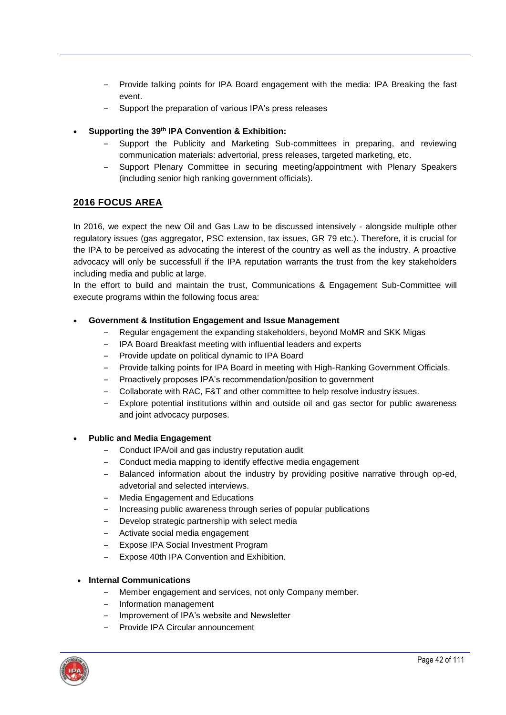- Provide talking points for IPA Board engagement with the media: IPA Breaking the fast event.
- Support the preparation of various IPA's press releases
- **Supporting the 39th IPA Convention & Exhibition:**
	- Support the Publicity and Marketing Sub-committees in preparing, and reviewing communication materials: advertorial, press releases, targeted marketing, etc.
	- Support Plenary Committee in securing meeting/appointment with Plenary Speakers (including senior high ranking government officials).

# **2016 FOCUS AREA**

In 2016, we expect the new Oil and Gas Law to be discussed intensively - alongside multiple other regulatory issues (gas aggregator, PSC extension, tax issues, GR 79 etc.). Therefore, it is crucial for the IPA to be perceived as advocating the interest of the country as well as the industry. A proactive advocacy will only be successfull if the IPA reputation warrants the trust from the key stakeholders including media and public at large.

In the effort to build and maintain the trust, Communications & Engagement Sub-Committee will execute programs within the following focus area:

#### **Government & Institution Engagement and Issue Management**

- Regular engagement the expanding stakeholders, beyond MoMR and SKK Migas
- IPA Board Breakfast meeting with influential leaders and experts
- Provide update on political dynamic to IPA Board
- Provide talking points for IPA Board in meeting with High-Ranking Government Officials.
- Proactively proposes IPA's recommendation/position to government
- Collaborate with RAC, F&T and other committee to help resolve industry issues.
- Explore potential institutions within and outside oil and gas sector for public awareness and joint advocacy purposes.

#### **Public and Media Engagement**

- Conduct IPA/oil and gas industry reputation audit
- Conduct media mapping to identify effective media engagement
- Balanced information about the industry by providing positive narrative through op-ed, advetorial and selected interviews.
- Media Engagement and Educations
- Increasing public awareness through series of popular publications
- Develop strategic partnership with select media
- Activate social media engagement
- Expose IPA Social Investment Program
- Expose 40th IPA Convention and Exhibition.

#### **Internal Communications**

- Member engagement and services, not only Company member.
- Information management
- Improvement of IPA's website and Newsletter
- Provide IPA Circular announcement

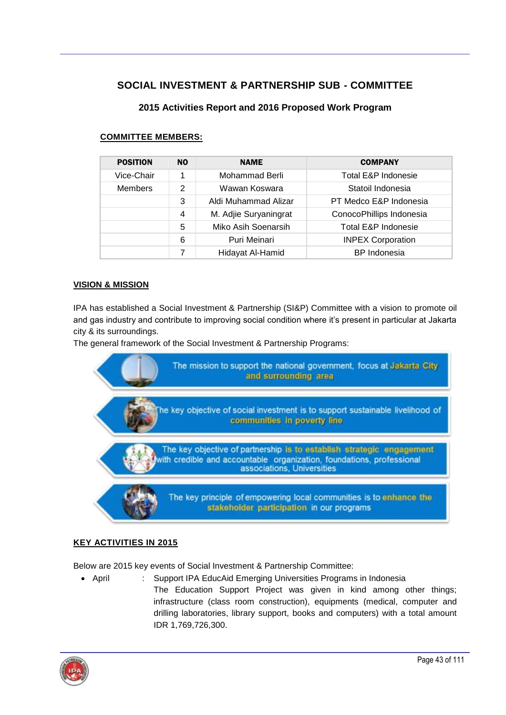# **SOCIAL INVESTMENT & PARTNERSHIP SUB - COMMITTEE**

# **2015 Activities Report and 2016 Proposed Work Program**

| <b>POSITION</b> | N <sub>0</sub> | <b>NAME</b>           | <b>COMPANY</b>                                                                                                        |  |
|-----------------|----------------|-----------------------|-----------------------------------------------------------------------------------------------------------------------|--|
| Vice-Chair      | 1              | Mohammad Berli        | Total E&P Indonesie<br>Statoil Indonesia<br>PT Medco E&P Indonesia<br>ConocoPhillips Indonesia<br>Total E&P Indonesie |  |
| <b>Members</b>  | 2              | Wawan Koswara         |                                                                                                                       |  |
|                 | 3              | Aldi Muhammad Alizar  |                                                                                                                       |  |
|                 | 4              | M. Adjie Suryaningrat |                                                                                                                       |  |
|                 | 5              | Miko Asih Soenarsih   |                                                                                                                       |  |
|                 | 6              | Puri Meinari          | <b>INPEX Corporation</b>                                                                                              |  |
|                 | 7              | Hidayat Al-Hamid      | <b>BP</b> Indonesia                                                                                                   |  |

## **COMMITTEE MEMBERS:**

#### **VISION & MISSION**

IPA has established a Social Investment & Partnership (SI&P) Committee with a vision to promote oil and gas industry and contribute to improving social condition where it's present in particular at Jakarta city & its surroundings.

The general framework of the Social Investment & Partnership Programs:



## **KEY ACTIVITIES IN 2015**

Below are 2015 key events of Social Investment & Partnership Committee:

 April : Support IPA EducAid Emerging Universities Programs in Indonesia The Education Support Project was given in kind among other things; infrastructure (class room construction), equipments (medical, computer and drilling laboratories, library support, books and computers) with a total amount IDR 1,769,726,300.

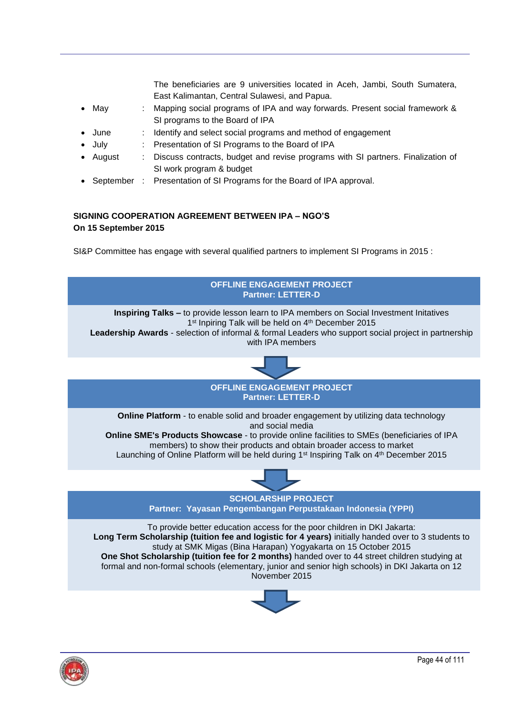| The beneficiaries are 9 universities located in Aceh, Jambi, South Sumatera,                                  |
|---------------------------------------------------------------------------------------------------------------|
| East Kalimantan, Central Sulawesi, and Papua.                                                                 |
| : Mapping social programs of IPA and way forwards. Present social framework &                                 |
| SI programs to the Board of IPA                                                                               |
| : Identify and select social programs and method of engagement                                                |
| : Presentation of SI Programs to the Board of IPA                                                             |
| : Discuss contracts, budget and revise programs with SI partners. Finalization of<br>SI work program & budget |
|                                                                                                               |

• September : Presentation of SI Programs for the Board of IPA approval.

## **SIGNING COOPERATION AGREEMENT BETWEEN IPA – NGO'S On 15 September 2015**

SI&P Committee has engage with several qualified partners to implement SI Programs in 2015 :



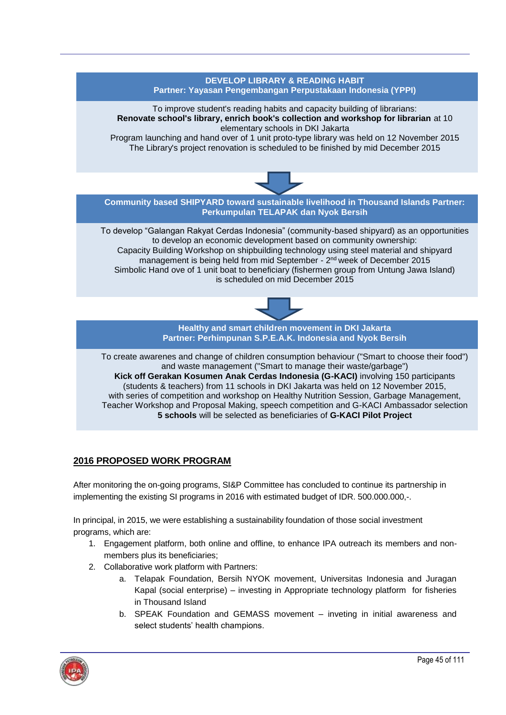## **DEVELOP LIBRARY & READING HABIT Partner: Yayasan Pengembangan Perpustakaan Indonesia (YPPI)**

To improve student's reading habits and capacity building of librarians: **Renovate school's library, enrich book's collection and workshop for librarian** at 10 elementary schools in DKI Jakarta

Program launching and hand over of 1 unit proto-type library was held on 12 November 2015 The Library's project renovation is scheduled to be finished by mid December 2015



**Community based SHIPYARD toward sustainable livelihood in Thousand Islands Partner: Perkumpulan TELAPAK dan Nyok Bersih**

To develop "Galangan Rakyat Cerdas Indonesia" (community-based shipyard) as an opportunities to develop an economic development based on community ownership: Capacity Building Workshop on shipbuilding technology using steel material and shipyard management is being held from mid September - 2<sup>nd</sup> week of December 2015 Simbolic Hand ove of 1 unit boat to beneficiary (fishermen group from Untung Jawa Island) is scheduled on mid December 2015



**Healthy and smart children movement in DKI Jakarta Partner: Perhimpunan S.P.E.A.K. Indonesia and Nyok Bersih**

To create awarenes and change of children consumption behaviour ("Smart to choose their food") and waste management ("Smart to manage their waste/garbage") **Kick off Gerakan Kosumen Anak Cerdas Indonesia (G-KACI)** involving 150 participants (students & teachers) from 11 schools in DKI Jakarta was held on 12 November 2015, with series of competition and workshop on Healthy Nutrition Session, Garbage Management, Teacher Workshop and Proposal Making, speech competition and G-KACI Ambassador selection **5 schools** will be selected as beneficiaries of **G-KACI Pilot Project**

# **2016 PROPOSED WORK PROGRAM**

After monitoring the on-going programs, SI&P Committee has concluded to continue its partnership in implementing the existing SI programs in 2016 with estimated budget of IDR. 500.000.000,-.

In principal, in 2015, we were establishing a sustainability foundation of those social investment programs, which are:

- 1. Engagement platform, both online and offline, to enhance IPA outreach its members and nonmembers plus its beneficiaries;
- 2. Collaborative work platform with Partners:
	- a. Telapak Foundation, Bersih NYOK movement, Universitas Indonesia and Juragan Kapal (social enterprise) – investing in Appropriate technology platform for fisheries in Thousand Island
	- b. SPEAK Foundation and GEMASS movement inveting in initial awareness and select students' health champions.

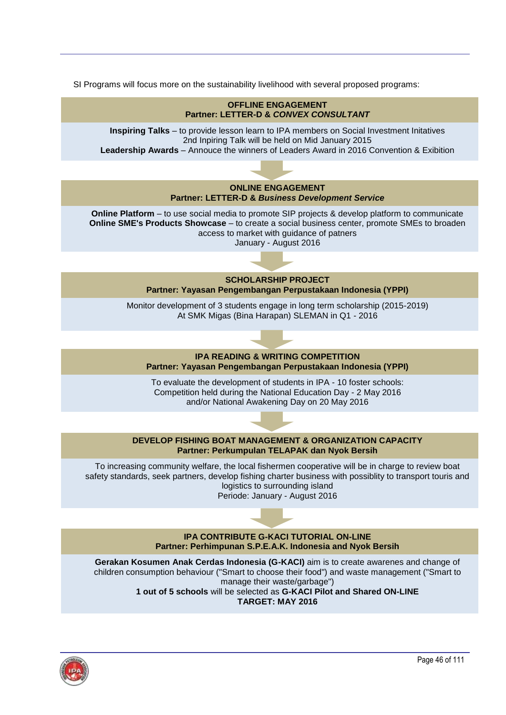SI Programs will focus more on the sustainability livelihood with several proposed programs: